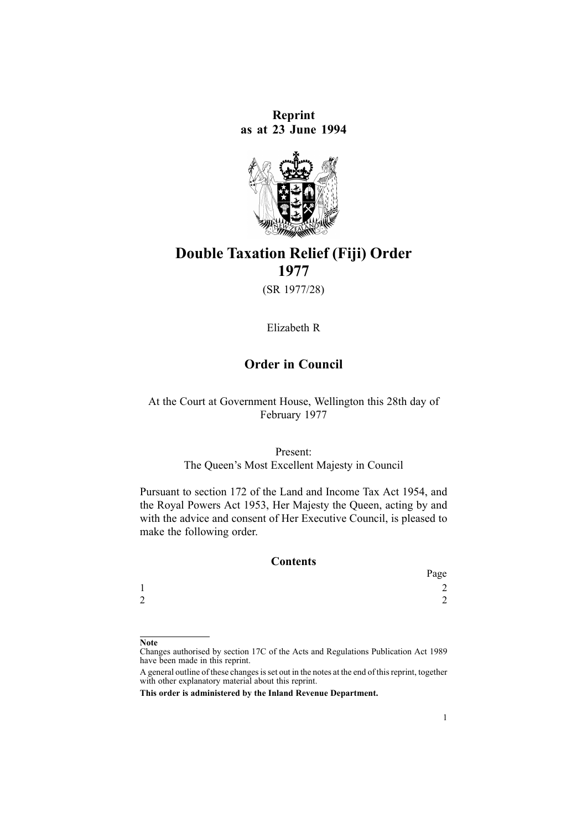**Reprint as at 23 June 1994**



# **Double Taxation Relief (Fiji) Order 1977**

(SR 1977/28)

Elizabeth R

# **Order in Council**

At the Court at Government House, Wellington this 28th day of February 1977

> Present: The Queen's Most Excellent Majesty in Council

Pursuant to section 172 of the Land and Income Tax Act 1954, and the Royal Powers Act 1953, Her Majesty the Queen, acting by and with the advice and consent of Her Executive Council, is pleased to make the following order.

#### **Contents**

|                 | Page          |
|-----------------|---------------|
| м               | $\gamma$<br>∠ |
| $\sqrt{ }$<br>∠ | $\sim$<br>∠   |

**Note**

Changes authorised by [section](http://www.legislation.govt.nz/pdflink.aspx?id=DLM195466) 17C of the Acts and Regulations Publication Act 1989 have been made in this reprint.

A general outline of these changes is set out in the notes at the end of this reprint, together with other explanatory material about this reprint.

**This order is administered by the Inland Revenue Department.**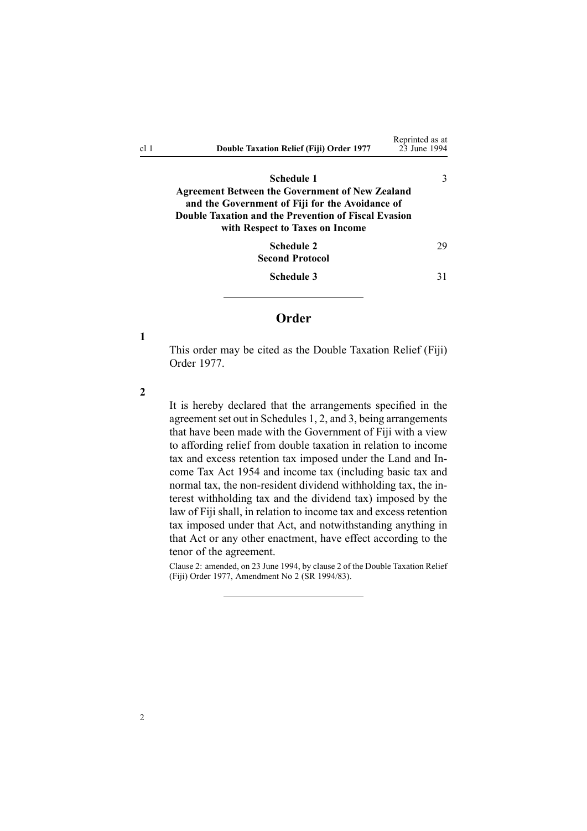<span id="page-1-0"></span>

| cl 1 | <b>Double Taxation Relief (Fiji) Order 1977</b>                                                                                                                                                                    | Reprinted as at<br>23 June 1994 |  |
|------|--------------------------------------------------------------------------------------------------------------------------------------------------------------------------------------------------------------------|---------------------------------|--|
|      | <b>Schedule 1</b><br>Agreement Between the Government of New Zealand<br>and the Government of Fiji for the Avoidance of<br>Double Taxation and the Prevention of Fiscal Evasion<br>with Respect to Taxes on Income | 3                               |  |
|      | <b>Schedule 2</b><br><b>Second Protocol</b>                                                                                                                                                                        | 29                              |  |
|      | <b>Schedule 3</b>                                                                                                                                                                                                  | 31                              |  |

# **Order**

**1**

This order may be cited as the Double Taxation Relief (Fiji) Order 1977.

**2**

It is hereby declared that the arrangements specified in the agreement set out in [Schedules](#page-2-0) 1, 2, and 3, being arrangements that have been made with the Government of Fiji with <sup>a</sup> view to affording relief from double taxation in relation to income tax and excess retention tax imposed under the Land and Income Tax Act 1954 and income tax (including basic tax and normal tax, the non-resident dividend withholding tax, the interest withholding tax and the dividend tax) imposed by the law of Fiji shall, in relation to income tax and excess retention tax imposed under that Act, and notwithstanding anything in that Act or any other enactment, have effect according to the tenor of the agreement.

Clause 2: amended, on 23 June 1994, by clause 2 of the Double Taxation Relief (Fiji) Order 1977, Amendment No 2 (SR 1994/83).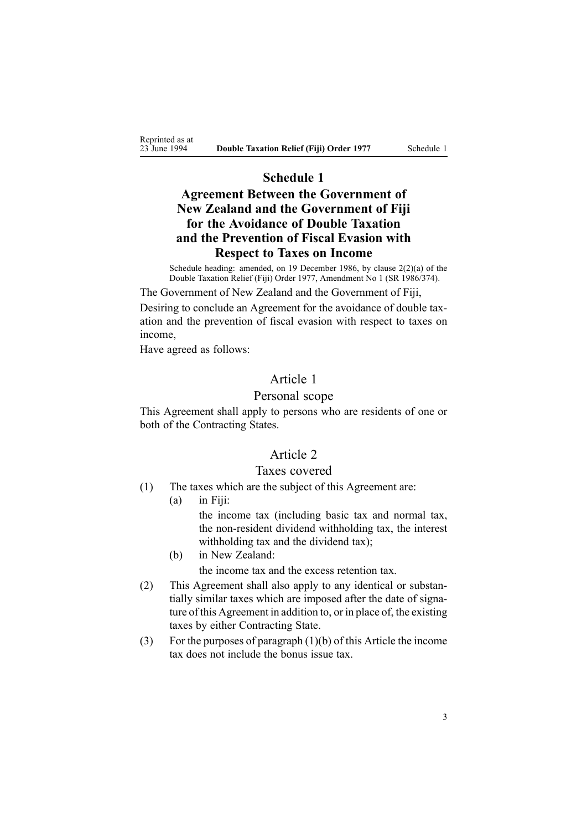<span id="page-2-0"></span>Reprinted as at<br>23 June 1994

# **Schedule 1**

# **Agreement Between the Government of New Zealand and the Government of Fiji for the Avoidance of Double Taxation and the Prevention of Fiscal Evasion with Respect to Taxes on Income**

Schedule heading: amended, on 19 December 1986, by clause 2(2)(a) of the Double Taxation Relief (Fiji) Order 1977, Amendment No 1 (SR 1986/374).

The Government of New Zealand and the Government of Fiji,

Desiring to conclude an Agreement for the avoidance of double taxation and the prevention of fiscal evasion with respec<sup>t</sup> to taxes on income,

Have agreed as follows:

# Article 1

# Personal scope

This Agreement shall apply to persons who are residents of one or both of the Contracting States.

# Article 2

# Taxes covered

- (1) The taxes which are the subject of this Agreement are:
	- (a) in Fiji:

the income tax (including basic tax and normal tax, the non-resident dividend withholding tax, the interest withholding tax and the dividend tax);

(b) in New Zealand:

the income tax and the excess retention tax.

- (2) This Agreement shall also apply to any identical or substantially similar taxes which are imposed after the date of signature of this Agreement in addition to, or in place of, the existing taxes by either Contracting State.
- (3) For the purposes of paragraph  $(1)(b)$  of this Article the income tax does not include the bonus issue tax.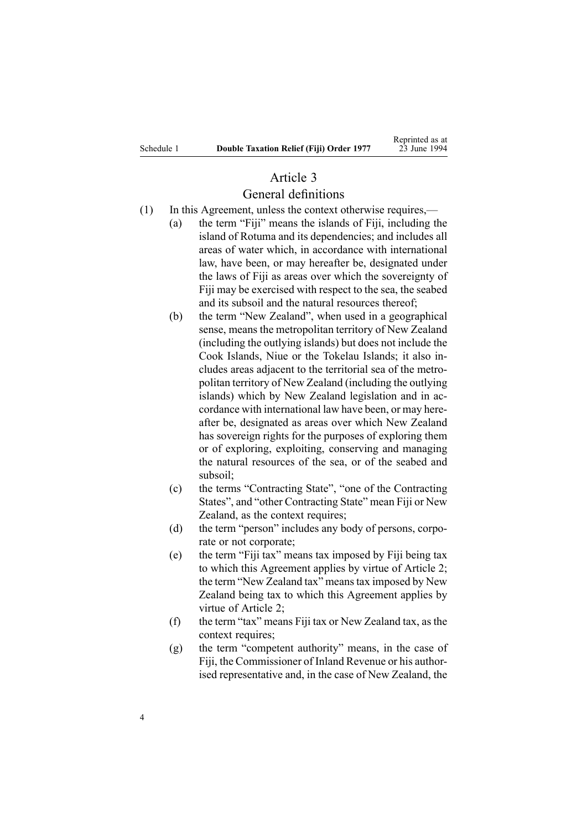# Article 3

# General definitions

- (1) In this Agreement, unless the context otherwise requires,—
	- (a) the term "Fiji" means the islands of Fiji, including the island of Rotuma and its dependencies; and includes all areas of water which, in accordance with international law, have been, or may hereafter be, designated under the laws of Fiji as areas over which the sovereignty of Fiji may be exercised with respec<sup>t</sup> to the sea, the seabed and its subsoil and the natural resources thereof;
	- (b) the term "New Zealand", when used in <sup>a</sup> geographical sense, means the metropolitan territory of New Zealand (including the outlying islands) but does not include the Cook Islands, Niue or the Tokelau Islands; it also includes areas adjacent to the territorial sea of the metropolitan territory of New Zealand (including the outlying islands) which by New Zealand legislation and in accordance with international law have been, or may hereafter be, designated as areas over which New Zealand has sovereign rights for the purposes of exploring them or of exploring, exploiting, conserving and managing the natural resources of the sea, or of the seabed and subsoil;
	- (c) the terms "Contracting State", "one of the Contracting States", and "other Contracting State" mean Fiji or New Zealand, as the context requires;
	- (d) the term "person" includes any body of persons, corporate or not corporate;
	- (e) the term "Fiji tax" means tax imposed by Fiji being tax to which this Agreement applies by virtue of Article 2; the term "New Zealand tax" meanstax imposed by New Zealand being tax to which this Agreement applies by virtue of Article 2;
	- (f) the term "tax" means Fiji tax or New Zealand tax, as the context requires;
	- (g) the term "competent authority" means, in the case of Fiji, the Commissioner of Inland Revenue or his authorised representative and, in the case of New Zealand, the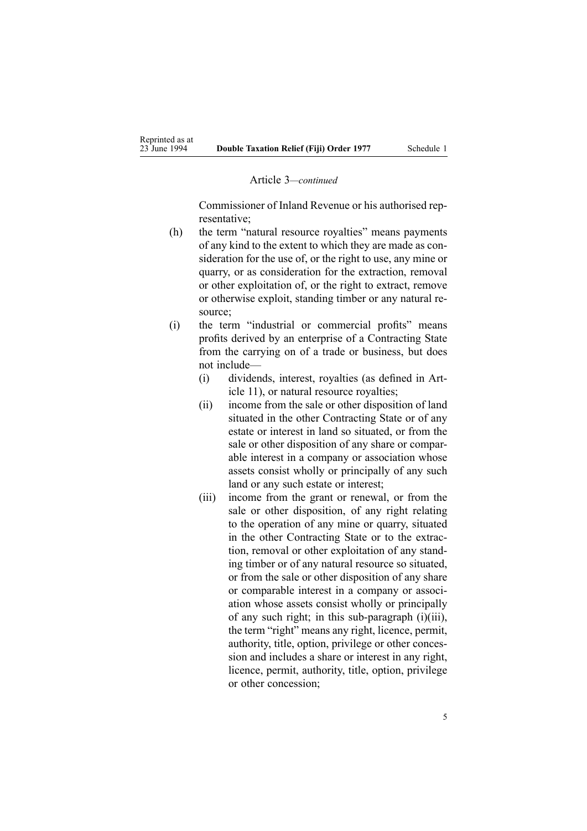#### Article 3*—continued*

Commissioner of Inland Revenue or his authorised representative;

- (h) the term "natural resource royalties" means payments of any kind to the extent to which they are made as consideration for the use of, or the right to use, any mine or quarry, or as consideration for the extraction, removal or other exploitation of, or the right to extract, remove or otherwise exploit, standing timber or any natural resource;
- (i) the term "industrial or commercial profits" means profits derived by an enterprise of <sup>a</sup> Contracting State from the carrying on of <sup>a</sup> trade or business, but does not include—
	- (i) dividends, interest, royalties (as defined in Article 11), or natural resource royalties;
	- (ii) income from the sale or other disposition of land situated in the other Contracting State or of any estate or interest in land so situated, or from the sale or other disposition of any share or comparable interest in <sup>a</sup> company or association whose assets consist wholly or principally of any such land or any such estate or interest;
	- (iii) income from the gran<sup>t</sup> or renewal, or from the sale or other disposition, of any right relating to the operation of any mine or quarry, situated in the other Contracting State or to the extraction, removal or other exploitation of any standing timber or of any natural resource so situated, or from the sale or other disposition of any share or comparable interest in <sup>a</sup> company or association whose assets consist wholly or principally of any such right; in this sub-paragraph (i)(iii), the term "right" means any right, licence, permit, authority, title, option, privilege or other concession and includes <sup>a</sup> share or interest in any right, licence, permit, authority, title, option, privilege or other concession;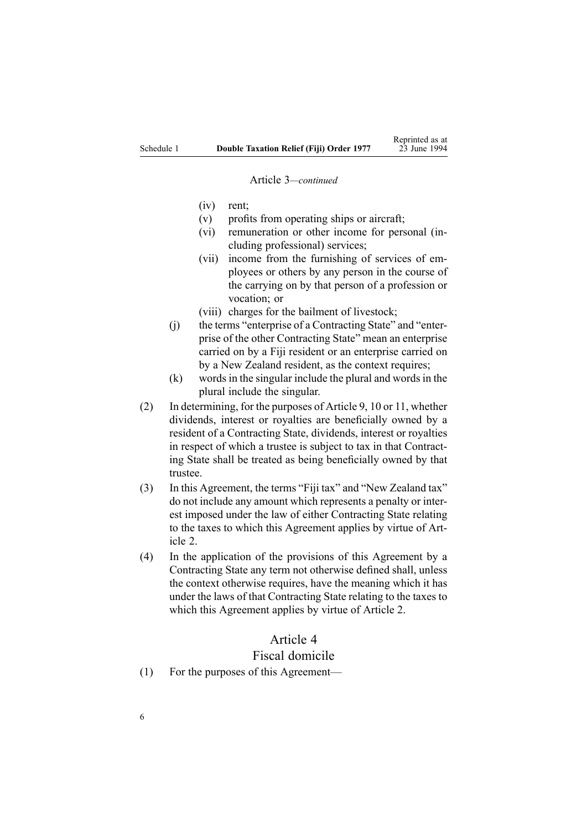#### Article 3*—continued*

- (iv) rent;
- (v) profits from operating ships or aircraft;
- (vi) remuneration or other income for personal (including professional) services;
- (vii) income from the furnishing of services of employees or others by any person in the course of the carrying on by that person of <sup>a</sup> profession or vocation; or
- (viii) charges for the bailment of livestock;
- (j) the terms "enterprise of <sup>a</sup> Contracting State" and "enterprise of the other Contracting State" mean an enterprise carried on by <sup>a</sup> Fiji resident or an enterprise carried on by <sup>a</sup> New Zealand resident, as the context requires;
- $(k)$  words in the singular include the plural and words in the plural include the singular.
- (2) In determining, for the purposes of Article 9, 10 or 11, whether dividends, interest or royalties are beneficially owned by <sup>a</sup> resident of <sup>a</sup> Contracting State, dividends, interest or royalties in respec<sup>t</sup> of which <sup>a</sup> trustee is subject to tax in that Contracting State shall be treated as being beneficially owned by that trustee.
- (3) In this Agreement, the terms "Fiji tax" and "New Zealand tax" do not include any amount which represents <sup>a</sup> penalty or interest imposed under the law of either Contracting State relating to the taxes to which this Agreement applies by virtue of Article 2.
- (4) In the application of the provisions of this Agreement by <sup>a</sup> Contracting State any term not otherwise defined shall, unless the context otherwise requires, have the meaning which it has under the laws of that Contracting State relating to the taxes to which this Agreement applies by virtue of Article 2.

# Article 4

### Fiscal domicile

(1) For the purposes of this Agreement—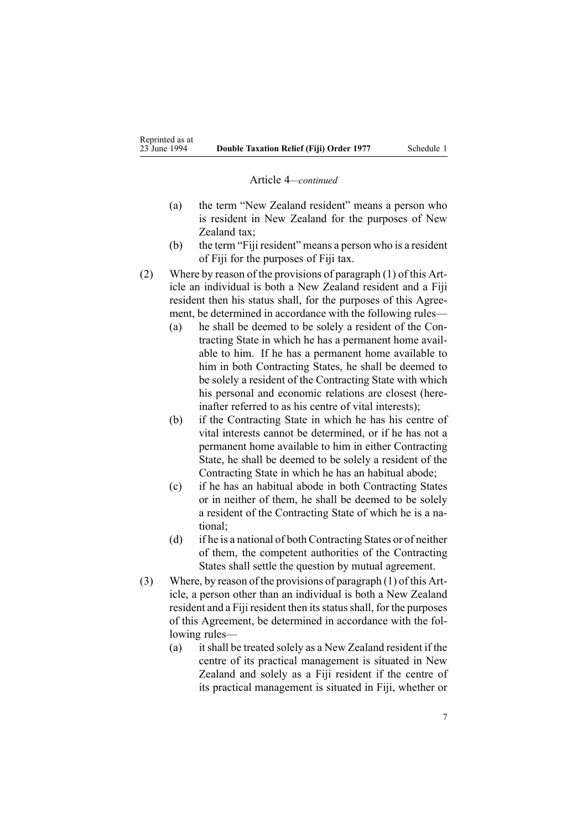#### Article 4*—continued*

- (a) the term "New Zealand resident" means <sup>a</sup> person who is resident in New Zealand for the purposes of New Zealand tax;
- (b) the term "Fiji resident" means <sup>a</sup> person who is <sup>a</sup> resident of Fiji for the purposes of Fiji tax.
- (2) Where by reason of the provisions of paragraph (1) of this Article an individual is both <sup>a</sup> New Zealand resident and <sup>a</sup> Fiji resident then his status shall, for the purposes of this Agreement, be determined in accordance with the following rules—
	- (a) he shall be deemed to be solely <sup>a</sup> resident of the Contracting State in which he has <sup>a</sup> permanen<sup>t</sup> home available to him. If he has <sup>a</sup> permanen<sup>t</sup> home available to him in both Contracting States, he shall be deemed to be solely <sup>a</sup> resident of the Contracting State with which his personal and economic relations are closest (hereinafter referred to as his centre of vital interests);
	- (b) if the Contracting State in which he has his centre of vital interests cannot be determined, or if he has not <sup>a</sup> permanen<sup>t</sup> home available to him in either Contracting State, he shall be deemed to be solely <sup>a</sup> resident of the Contracting State in which he has an habitual abode;
	- (c) if he has an habitual abode in both Contracting States or in neither of them, he shall be deemed to be solely <sup>a</sup> resident of the Contracting State of which he is <sup>a</sup> national;
	- (d) if he is <sup>a</sup> national of both Contracting States or of neither of them, the competent authorities of the Contracting States shall settle the question by mutual agreement.
- (3) Where, by reason of the provisions of paragraph (1) of this Article, <sup>a</sup> person other than an individual is both <sup>a</sup> New Zealand resident and a Fiji resident then its status shall, for the purposes of this Agreement, be determined in accordance with the following rules—
	- (a) itshall be treated solely as <sup>a</sup> New Zealand resident if the centre of its practical managemen<sup>t</sup> is situated in New Zealand and solely as <sup>a</sup> Fiji resident if the centre of its practical managemen<sup>t</sup> is situated in Fiji, whether or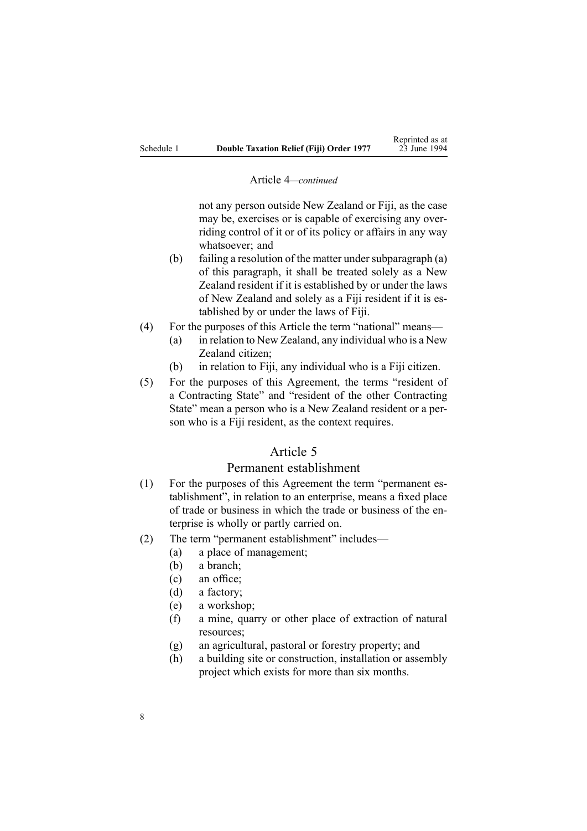#### Article 4*—continued*

not any person outside New Zealand or Fiji, as the case may be, exercises or is capable of exercising any overriding control of it or of its policy or affairs in any way whatsoever; and

- (b) failing a resolution of the matter under subparagraph  $(a)$ of this paragraph, it shall be treated solely as <sup>a</sup> New Zealand resident if it is established by or under the laws of New Zealand and solely as <sup>a</sup> Fiji resident if it is established by or under the laws of Fiji.
- (4) For the purposes of this Article the term "national" means—
	- (a) in relation to New Zealand, any individual who is <sup>a</sup> New Zealand citizen;
	- (b) in relation to Fiji, any individual who is <sup>a</sup> Fiji citizen.
- (5) For the purposes of this Agreement, the terms "resident of <sup>a</sup> Contracting State" and "resident of the other Contracting State" mean a person who is a New Zealand resident or a person who is <sup>a</sup> Fiji resident, as the context requires.

# Article 5

### Permanent establishment

- (1) For the purposes of this Agreement the term "permanent establishment", in relation to an enterprise, means <sup>a</sup> fixed place of trade or business in which the trade or business of the enterprise is wholly or partly carried on.
- (2) The term "permanent establishment" includes—
	- (a) <sup>a</sup> place of management;
	- (b) <sup>a</sup> branch;
	- (c) an office;
	- (d) <sup>a</sup> factory;
	- (e) <sup>a</sup> workshop;
	- (f) <sup>a</sup> mine, quarry or other place of extraction of natural resources;
	- (g) an agricultural, pastoral or forestry property; and
	- (h) <sup>a</sup> building site or construction, installation or assembly project which exists for more than six months.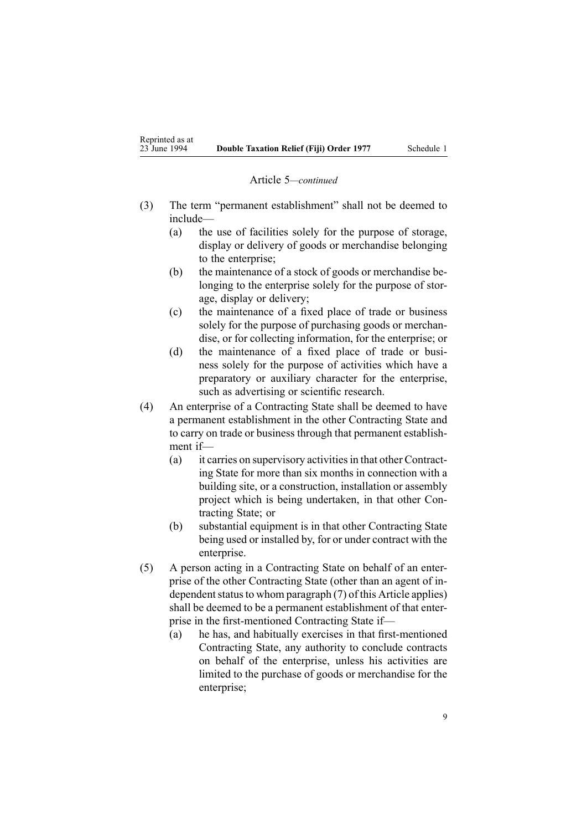### Article 5*—continued*

- (3) The term "permanent establishment" shall not be deemed to include—
	- (a) the use of facilities solely for the purpose of storage, display or delivery of goods or merchandise belonging to the enterprise;
	- (b) the maintenance of <sup>a</sup> stock of goods or merchandise belonging to the enterprise solely for the purpose of storage, display or delivery;
	- (c) the maintenance of <sup>a</sup> fixed place of trade or business solely for the purpose of purchasing goods or merchandise, or for collecting information, for the enterprise; or
	- (d) the maintenance of <sup>a</sup> fixed place of trade or business solely for the purpose of activities which have <sup>a</sup> preparatory or auxiliary character for the enterprise, such as advertising or scientific research.
- (4) An enterprise of <sup>a</sup> Contracting State shall be deemed to have <sup>a</sup> permanen<sup>t</sup> establishment in the other Contracting State and to carry on trade or business through that permanen<sup>t</sup> establishment if—
	- (a) it carries on supervisory activitiesin that other Contracting State for more than six months in connection with <sup>a</sup> building site, or <sup>a</sup> construction, installation or assembly project which is being undertaken, in that other Contracting State; or
	- (b) substantial equipment is in that other Contracting State being used or installed by, for or under contract with the enterprise.
- (5) A person acting in <sup>a</sup> Contracting State on behalf of an enterprise of the other Contracting State (other than an agen<sup>t</sup> of independent status to whom paragraph  $(7)$  of this Article applies) shall be deemed to be <sup>a</sup> permanen<sup>t</sup> establishment of that enterprise in the first-mentioned Contracting State if—
	- (a) he has, and habitually exercises in that first-mentioned Contracting State, any authority to conclude contracts on behalf of the enterprise, unless his activities are limited to the purchase of goods or merchandise for the enterprise;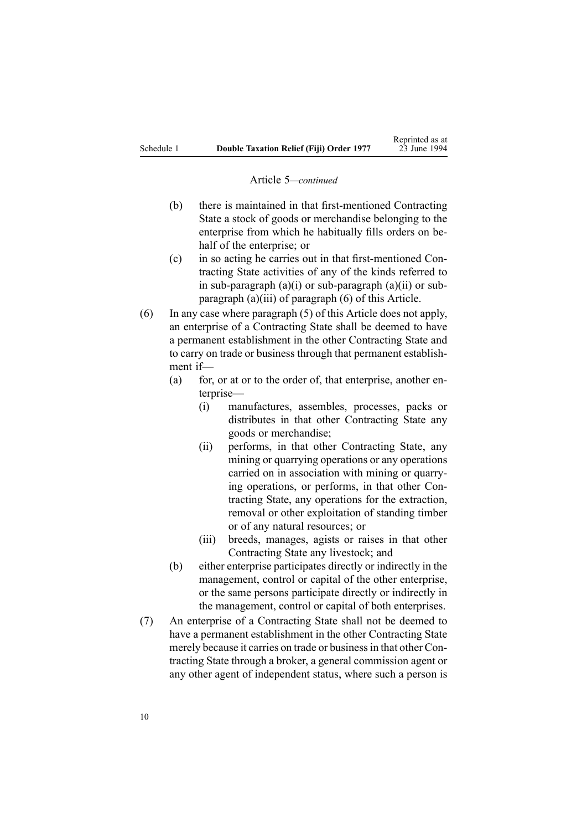#### Article 5*—continued*

- (b) there is maintained in that first-mentioned Contracting State <sup>a</sup> stock of goods or merchandise belonging to the enterprise from which he habitually fills orders on behalf of the enterprise; or
- (c) in so acting he carries out in that first-mentioned Contracting State activities of any of the kinds referred to in sub-paragraph (a)(i) or sub-paragraph (a)(ii) or subparagraph (a)(iii) of paragraph (6) of this Article.
- (6) In any case where paragraph (5) of this Article does not apply, an enterprise of <sup>a</sup> Contracting State shall be deemed to have <sup>a</sup> permanen<sup>t</sup> establishment in the other Contracting State and to carry on trade or business through that permanen<sup>t</sup> establishment if—
	- (a) for, or at or to the order of, that enterprise, another enterprise—
		- (i) manufactures, assembles, processes, packs or distributes in that other Contracting State any goods or merchandise;
		- (ii) performs, in that other Contracting State, any mining or quarrying operations or any operations carried on in association with mining or quarrying operations, or performs, in that other Contracting State, any operations for the extraction, removal or other exploitation of standing timber or of any natural resources; or
		- (iii) breeds, manages, agists or raises in that other Contracting State any livestock; and
	- (b) either enterprise participates directly or indirectly in the management, control or capital of the other enterprise, or the same persons participate directly or indirectly in the management, control or capital of both enterprises.
- (7) An enterprise of <sup>a</sup> Contracting State shall not be deemed to have <sup>a</sup> permanen<sup>t</sup> establishment in the other Contracting State merely because it carries on trade or businessin that other Contracting State through <sup>a</sup> broker, <sup>a</sup> general commission agen<sup>t</sup> or any other agen<sup>t</sup> of independent status, where such <sup>a</sup> person is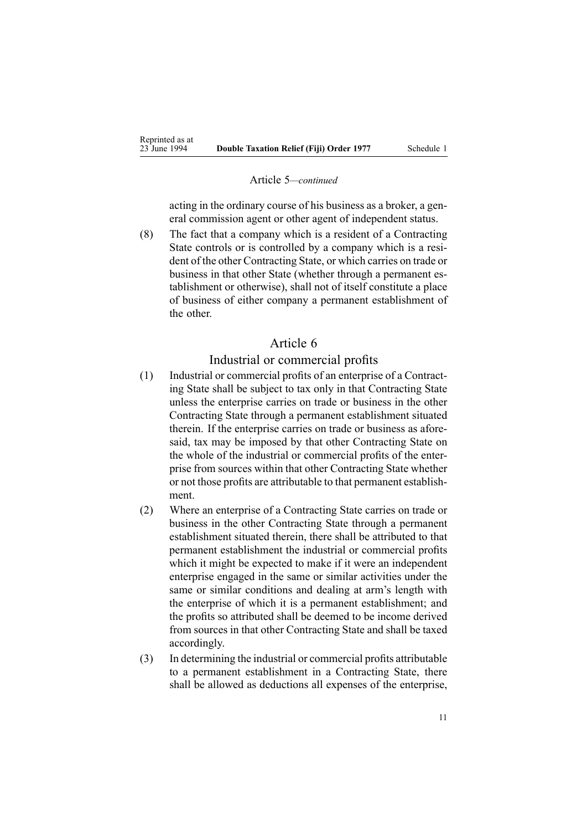#### Article 5*—continued*

acting in the ordinary course of his business as <sup>a</sup> broker, <sup>a</sup> general commission agen<sup>t</sup> or other agen<sup>t</sup> of independent status.

(8) The fact that <sup>a</sup> company which is <sup>a</sup> resident of <sup>a</sup> Contracting State controls or is controlled by <sup>a</sup> company which is <sup>a</sup> resident of the other Contracting State, or which carries on trade or business in that other State (whether through <sup>a</sup> permanen<sup>t</sup> establishment or otherwise), shall not of itself constitute <sup>a</sup> place of business of either company <sup>a</sup> permanen<sup>t</sup> establishment of the other.

# Article 6

### Industrial or commercial profits

- (1) Industrial or commercial profits of an enterprise of <sup>a</sup> Contracting State shall be subject to tax only in that Contracting State unless the enterprise carries on trade or business in the other Contracting State through <sup>a</sup> permanen<sup>t</sup> establishment situated therein. If the enterprise carries on trade or business as aforesaid, tax may be imposed by that other Contracting State on the whole of the industrial or commercial profits of the enterprise from sources within that other Contracting State whether or not those profits are attributable to that permanen<sup>t</sup> establishment.
- (2) Where an enterprise of <sup>a</sup> Contracting State carries on trade or business in the other Contracting State through <sup>a</sup> permanen<sup>t</sup> establishment situated therein, there shall be attributed to that permanen<sup>t</sup> establishment the industrial or commercial profits which it might be expected to make if it were an independent enterprise engaged in the same or similar activities under the same or similar conditions and dealing at arm's length with the enterprise of which it is <sup>a</sup> permanen<sup>t</sup> establishment; and the profits so attributed shall be deemed to be income derived from sources in that other Contracting State and shall be taxed accordingly.
- (3) In determining the industrial or commercial profits attributable to <sup>a</sup> permanen<sup>t</sup> establishment in <sup>a</sup> Contracting State, there shall be allowed as deductions all expenses of the enterprise,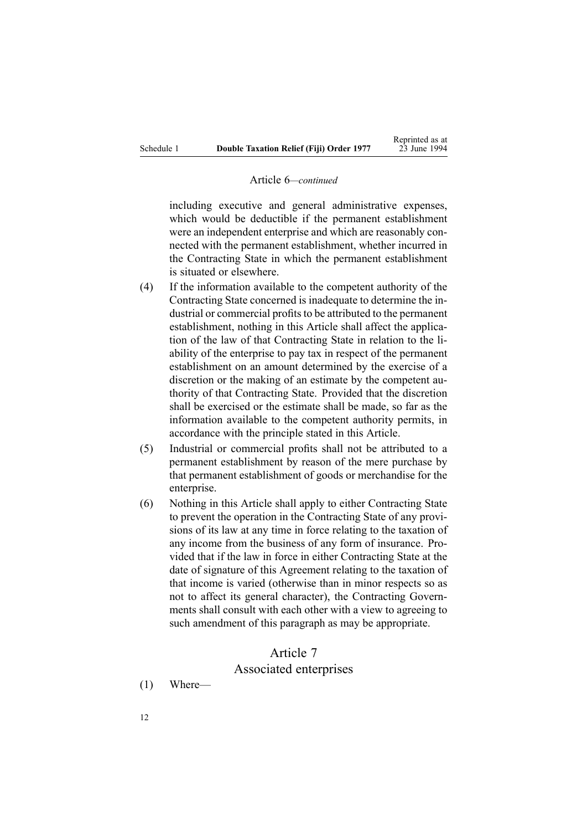#### Article 6*—continued*

including executive and general administrative expenses, which would be deductible if the permanen<sup>t</sup> establishment were an independent enterprise and which are reasonably connected with the permanen<sup>t</sup> establishment, whether incurred in the Contracting State in which the permanen<sup>t</sup> establishment is situated or elsewhere.

- (4) If the information available to the competent authority of the Contracting State concerned is inadequate to determine the industrial or commercial profits to be attributed to the permanent establishment, nothing in this Article shall affect the application of the law of that Contracting State in relation to the liability of the enterprise to pay tax in respec<sup>t</sup> of the permanen<sup>t</sup> establishment on an amount determined by the exercise of <sup>a</sup> discretion or the making of an estimate by the competent authority of that Contracting State. Provided that the discretion shall be exercised or the estimate shall be made, so far as the information available to the competent authority permits, in accordance with the principle stated in this Article.
- (5) Industrial or commercial profits shall not be attributed to <sup>a</sup> permanen<sup>t</sup> establishment by reason of the mere purchase by that permanen<sup>t</sup> establishment of goods or merchandise for the enterprise.
- (6) Nothing in this Article shall apply to either Contracting State to preven<sup>t</sup> the operation in the Contracting State of any provisions of its law at any time in force relating to the taxation of any income from the business of any form of insurance. Provided that if the law in force in either Contracting State at the date of signature of this Agreement relating to the taxation of that income is varied (otherwise than in minor respects so as not to affect its general character), the Contracting Governments shall consult with each other with <sup>a</sup> view to agreeing to such amendment of this paragraph as may be appropriate.

### Article 7

### Associated enterprises

(1) Where—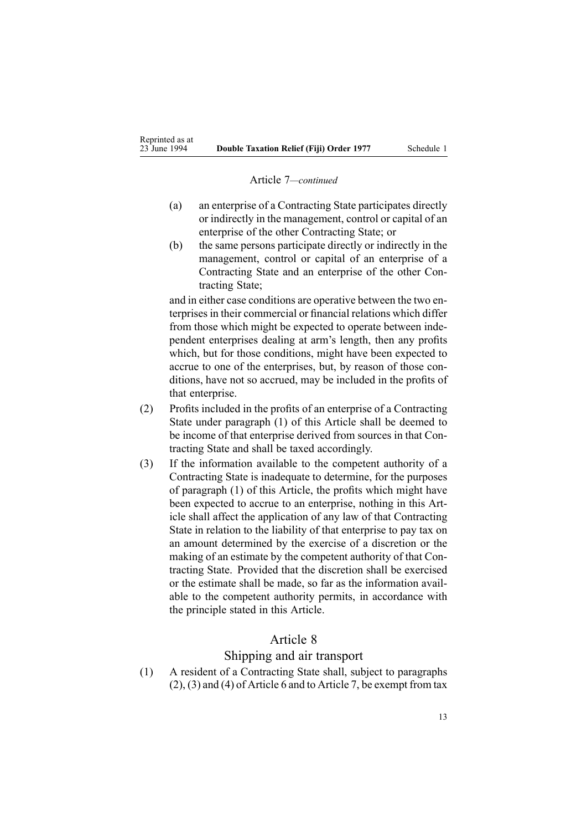#### Article 7*—continued*

- (a) an enterprise of <sup>a</sup> Contracting State participates directly or indirectly in the management, control or capital of an enterprise of the other Contracting State; or
- (b) the same persons participate directly or indirectly in the management, control or capital of an enterprise of <sup>a</sup> Contracting State and an enterprise of the other Contracting State;

and in either case conditions are operative between the two enterprises in their commercial or financial relations which differ from those which might be expected to operate between independent enterprises dealing at arm's length, then any profits which, but for those conditions, might have been expected to accrue to one of the enterprises, but, by reason of those conditions, have not so accrued, may be included in the profits of that enterprise.

- (2) Profits included in the profits of an enterprise of <sup>a</sup> Contracting State under paragraph (1) of this Article shall be deemed to be income of that enterprise derived from sources in that Contracting State and shall be taxed accordingly.
- (3) If the information available to the competent authority of <sup>a</sup> Contracting State is inadequate to determine, for the purposes of paragraph (1) of this Article, the profits which might have been expected to accrue to an enterprise, nothing in this Article shall affect the application of any law of that Contracting State in relation to the liability of that enterprise to pay tax on an amount determined by the exercise of <sup>a</sup> discretion or the making of an estimate by the competent authority of that Contracting State. Provided that the discretion shall be exercised or the estimate shall be made, so far as the information available to the competent authority permits, in accordance with the principle stated in this Article.

# Article 8

# Shipping and air transport

(1) A resident of <sup>a</sup> Contracting State shall, subject to paragraphs (2), (3) and (4) of Article 6 and to Article 7, be exemp<sup>t</sup> from tax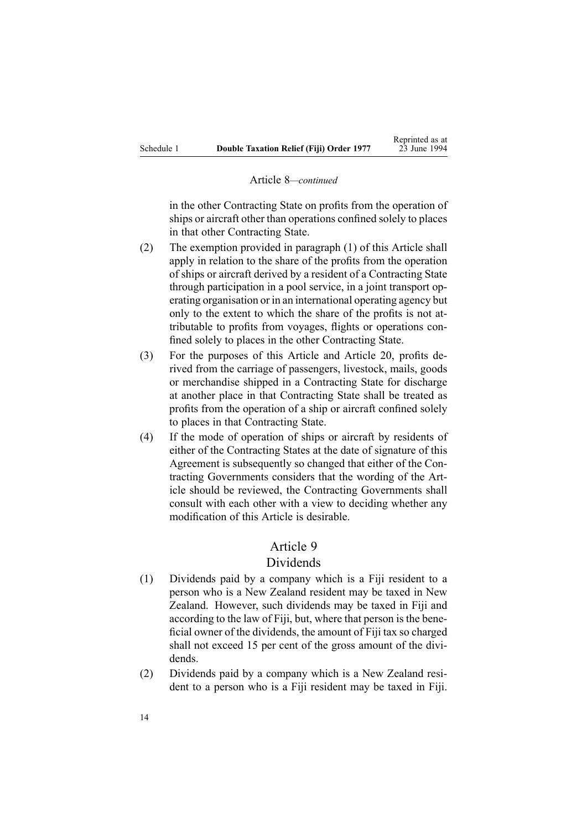#### Article 8*—continued*

in the other Contracting State on profits from the operation of ships or aircraft other than operations confined solely to places in that other Contracting State.

- (2) The exemption provided in paragraph (1) of this Article shall apply in relation to the share of the profits from the operation of ships or aircraft derived by <sup>a</sup> resident of <sup>a</sup> Contracting State through participation in <sup>a</sup> pool service, in <sup>a</sup> joint transport operating organisation or in an international operating agency but only to the extent to which the share of the profits is not attributable to profits from voyages, flights or operations confined solely to places in the other Contracting State.
- (3) For the purposes of this Article and Article 20, profits derived from the carriage of passengers, livestock, mails, goods or merchandise shipped in <sup>a</sup> Contracting State for discharge at another place in that Contracting State shall be treated as profits from the operation of <sup>a</sup> ship or aircraft confined solely to places in that Contracting State.
- (4) If the mode of operation of ships or aircraft by residents of either of the Contracting States at the date of signature of this Agreement is subsequently so changed that either of the Contracting Governments considers that the wording of the Article should be reviewed, the Contracting Governments shall consult with each other with <sup>a</sup> view to deciding whether any modification of this Article is desirable.

# Article 9

# Dividends

- (1) Dividends paid by <sup>a</sup> company which is <sup>a</sup> Fiji resident to <sup>a</sup> person who is <sup>a</sup> New Zealand resident may be taxed in New Zealand. However, such dividends may be taxed in Fiji and according to the law of Fiji, but, where that person is the beneficial owner of the dividends, the amount of Fiji tax so charged shall not exceed 15 per cent of the gross amount of the dividends.
- (2) Dividends paid by <sup>a</sup> company which is <sup>a</sup> New Zealand resident to <sup>a</sup> person who is <sup>a</sup> Fiji resident may be taxed in Fiji.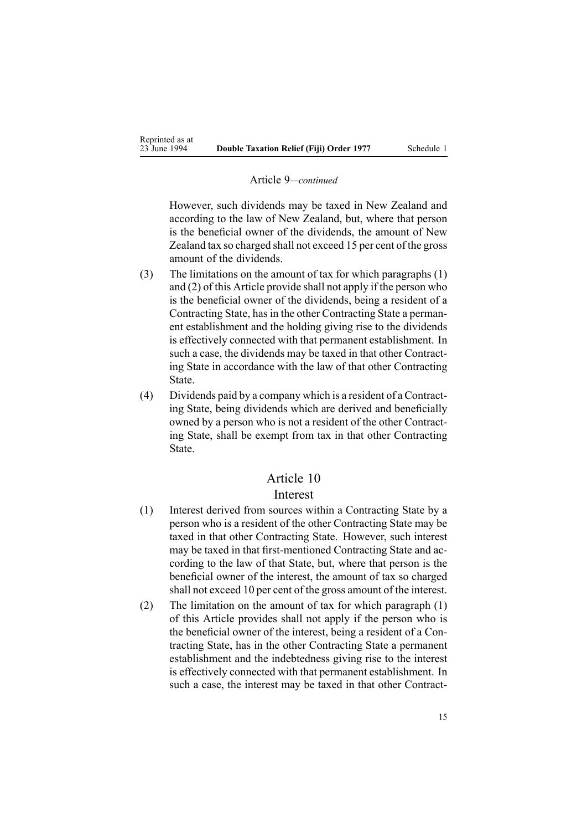#### Article 9*—continued*

However, such dividends may be taxed in New Zealand and according to the law of New Zealand, but, where that person is the beneficial owner of the dividends, the amount of New Zealand tax so charged shall not exceed 15 per cent of the gross amount of the dividends.

- (3) The limitations on the amount of tax for which paragraphs (1) and (2) of this Article provide shall not apply if the person who is the beneficial owner of the dividends, being <sup>a</sup> resident of <sup>a</sup> Contracting State, has in the other Contracting State a permanent establishment and the holding giving rise to the dividends is effectively connected with that permanen<sup>t</sup> establishment. In such <sup>a</sup> case, the dividends may be taxed in that other Contracting State in accordance with the law of that other Contracting State.
- (4) Dividends paid by <sup>a</sup> company which is <sup>a</sup> resident of <sup>a</sup> Contracting State, being dividends which are derived and beneficially owned by <sup>a</sup> person who is not <sup>a</sup> resident of the other Contracting State, shall be exemp<sup>t</sup> from tax in that other Contracting State.

### Article 10

### Interest

- (1) Interest derived from sources within <sup>a</sup> Contracting State by <sup>a</sup> person who is <sup>a</sup> resident of the other Contracting State may be taxed in that other Contracting State. However, such interest may be taxed in that first-mentioned Contracting State and according to the law of that State, but, where that person is the beneficial owner of the interest, the amount of tax so charged shall not exceed 10 per cent of the gross amount of the interest.
- (2) The limitation on the amount of tax for which paragraph (1) of this Article provides shall not apply if the person who is the beneficial owner of the interest, being <sup>a</sup> resident of <sup>a</sup> Contracting State, has in the other Contracting State <sup>a</sup> permanen<sup>t</sup> establishment and the indebtedness giving rise to the interest is effectively connected with that permanen<sup>t</sup> establishment. In such <sup>a</sup> case, the interest may be taxed in that other Contract-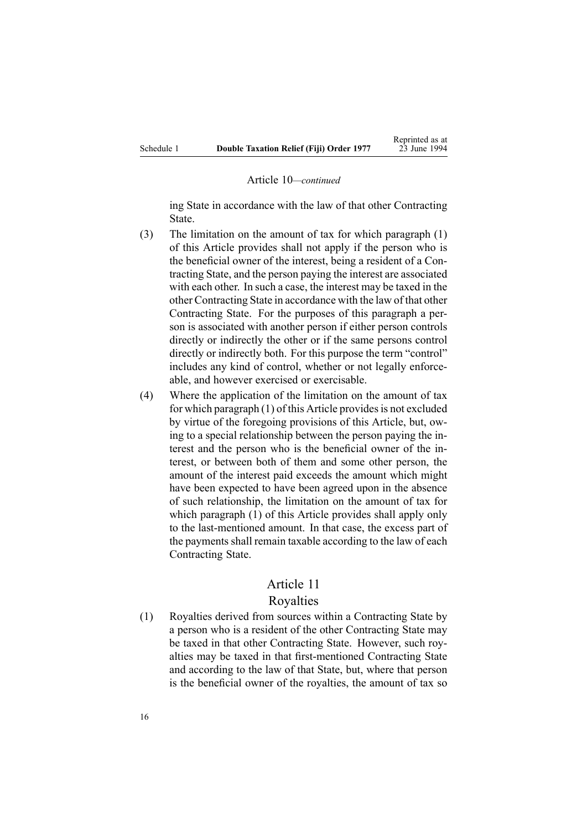#### Article 10*—continued*

ing State in accordance with the law of that other Contracting State.

- (3) The limitation on the amount of tax for which paragraph (1) of this Article provides shall not apply if the person who is the beneficial owner of the interest, being <sup>a</sup> resident of <sup>a</sup> Contracting State, and the person paying the interest are associated with each other. In such <sup>a</sup> case, the interest may be taxed in the other Contracting State in accordance with the law of that other Contracting State. For the purposes of this paragraph <sup>a</sup> person is associated with another person if either person controls directly or indirectly the other or if the same persons control directly or indirectly both. For this purpose the term "control" includes any kind of control, whether or not legally enforceable, and however exercised or exercisable.
- (4) Where the application of the limitation on the amount of tax for which paragraph  $(1)$  of this Article provides is not excluded by virtue of the foregoing provisions of this Article, but, owing to <sup>a</sup> special relationship between the person paying the interest and the person who is the beneficial owner of the interest, or between both of them and some other person, the amount of the interest paid exceeds the amount which might have been expected to have been agreed upon in the absence of such relationship, the limitation on the amount of tax for which paragraph (1) of this Article provides shall apply only to the last-mentioned amount. In that case, the excess par<sup>t</sup> of the payments shall remain taxable according to the law of each Contracting State.

### Article 11

### Royalties

(1) Royalties derived from sources within <sup>a</sup> Contracting State by <sup>a</sup> person who is <sup>a</sup> resident of the other Contracting State may be taxed in that other Contracting State. However, such royalties may be taxed in that first-mentioned Contracting State and according to the law of that State, but, where that person is the beneficial owner of the royalties, the amount of tax so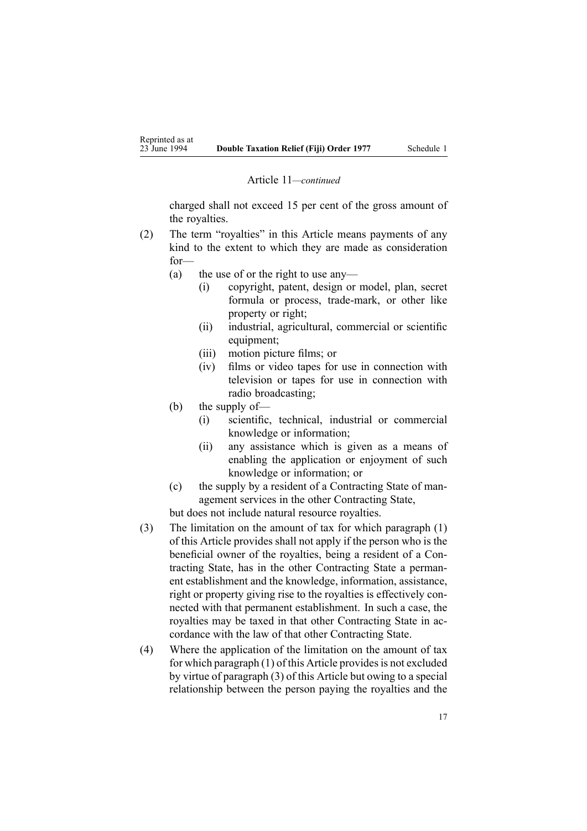#### Article 11*—continued*

charged shall not exceed 15 per cent of the gross amount of the royalties.

- (2) The term "royalties" in this Article means payments of any kind to the extent to which they are made as consideration for—
	- (a) the use of or the right to use any—
		- (i) copyright, patent, design or model, plan, secret formula or process, trade-mark, or other like property or right;
		- (ii) industrial, agricultural, commercial or scientific equipment;
		- (iii) motion picture films; or
		- (iv) films or video tapes for use in connection with television or tapes for use in connection with radio broadcasting;
	- (b) the supply of—
		- (i) scientific, technical, industrial or commercial knowledge or information;
		- (ii) any assistance which is given as <sup>a</sup> means of enabling the application or enjoyment of such knowledge or information; or
	- (c) the supply by <sup>a</sup> resident of <sup>a</sup> Contracting State of managemen<sup>t</sup> services in the other Contracting State,

but does not include natural resource royalties.

- (3) The limitation on the amount of tax for which paragraph (1) of this Article provides shall not apply if the person who is the beneficial owner of the royalties, being <sup>a</sup> resident of <sup>a</sup> Contracting State, has in the other Contracting State <sup>a</sup> permanent establishment and the knowledge, information, assistance, right or property giving rise to the royalties is effectively connected with that permanen<sup>t</sup> establishment. In such <sup>a</sup> case, the royalties may be taxed in that other Contracting State in accordance with the law of that other Contracting State.
- (4) Where the application of the limitation on the amount of tax for which paragraph  $(1)$  of this Article provides is not excluded by virtue of paragraph (3) of this Article but owing to <sup>a</sup> special relationship between the person paying the royalties and the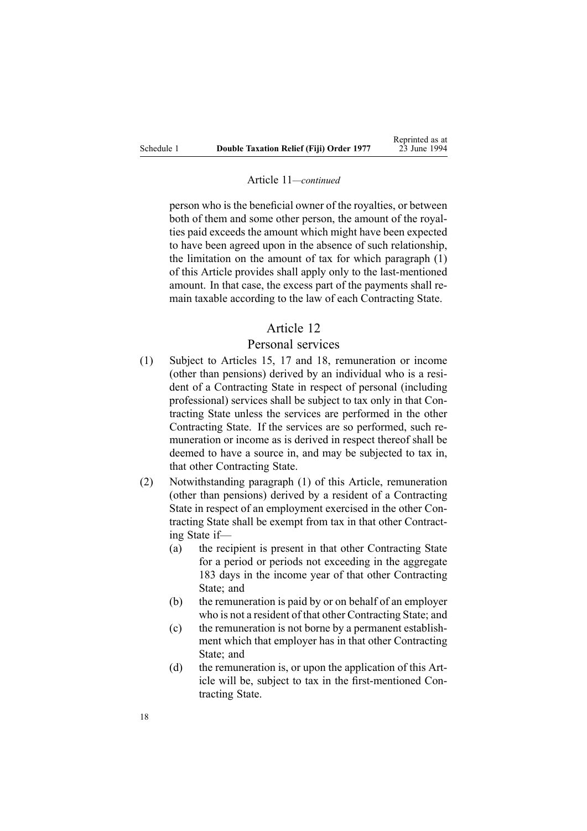#### Article 11*—continued*

person who is the beneficial owner of the royalties, or between both of them and some other person, the amount of the royalties paid exceeds the amount which might have been expected to have been agreed upon in the absence of such relationship, the limitation on the amount of tax for which paragraph (1) of this Article provides shall apply only to the last-mentioned amount. In that case, the excess par<sup>t</sup> of the payments shall remain taxable according to the law of each Contracting State.

# Article 12

### Personal services

- (1) Subject to Articles 15, 17 and 18, remuneration or income (other than pensions) derived by an individual who is <sup>a</sup> resident of <sup>a</sup> Contracting State in respec<sup>t</sup> of personal (including professional) services shall be subject to tax only in that Contracting State unless the services are performed in the other Contracting State. If the services are so performed, such remuneration or income as is derived in respec<sup>t</sup> thereof shall be deemed to have <sup>a</sup> source in, and may be subjected to tax in, that other Contracting State.
- (2) Notwithstanding paragraph (1) of this Article, remuneration (other than pensions) derived by <sup>a</sup> resident of <sup>a</sup> Contracting State in respec<sup>t</sup> of an employment exercised in the other Contracting State shall be exemp<sup>t</sup> from tax in that other Contracting State if—
	- (a) the recipient is presen<sup>t</sup> in that other Contracting State for <sup>a</sup> period or periods not exceeding in the aggregate 183 days in the income year of that other Contracting State; and
	- (b) the remuneration is paid by or on behalf of an employer who is not <sup>a</sup> resident of that other Contracting State; and
	- (c) the remuneration is not borne by <sup>a</sup> permanen<sup>t</sup> establishment which that employer has in that other Contracting State: and
	- (d) the remuneration is, or upon the application of this Article will be, subject to tax in the first-mentioned Contracting State.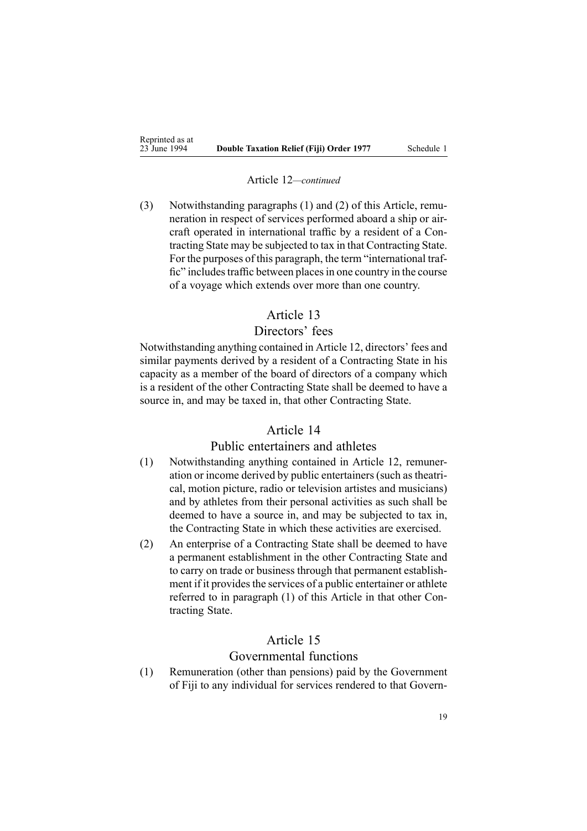#### Article 12*—continued*

(3) Notwithstanding paragraphs (1) and (2) of this Article, remuneration in respec<sup>t</sup> of services performed aboard <sup>a</sup> ship or aircraft operated in international traffic by <sup>a</sup> resident of <sup>a</sup> Contracting State may be subjected to tax in that Contracting State. For the purposes of this paragraph, the term "international traffic" includes traffic between places in one country in the course of <sup>a</sup> voyage which extends over more than one country.

### Article 13

# Directors' fees

Notwithstanding anything contained in Article 12, directors' fees and similar payments derived by <sup>a</sup> resident of <sup>a</sup> Contracting State in his capacity as <sup>a</sup> member of the board of directors of <sup>a</sup> company which is <sup>a</sup> resident of the other Contracting State shall be deemed to have <sup>a</sup> source in, and may be taxed in, that other Contracting State.

# Article 14

# Public entertainers and athletes

- (1) Notwithstanding anything contained in Article 12, remuneration or income derived by public entertainers (such as theatrical, motion picture, radio or television artistes and musicians) and by athletes from their personal activities as such shall be deemed to have <sup>a</sup> source in, and may be subjected to tax in, the Contracting State in which these activities are exercised.
- (2) An enterprise of <sup>a</sup> Contracting State shall be deemed to have <sup>a</sup> permanen<sup>t</sup> establishment in the other Contracting State and to carry on trade or business through that permanen<sup>t</sup> establishment if it provides the services of a public entertainer or athlete referred to in paragraph (1) of this Article in that other Contracting State.

# Article 15

### Governmental functions

(1) Remuneration (other than pensions) paid by the Government of Fiji to any individual for services rendered to that Govern-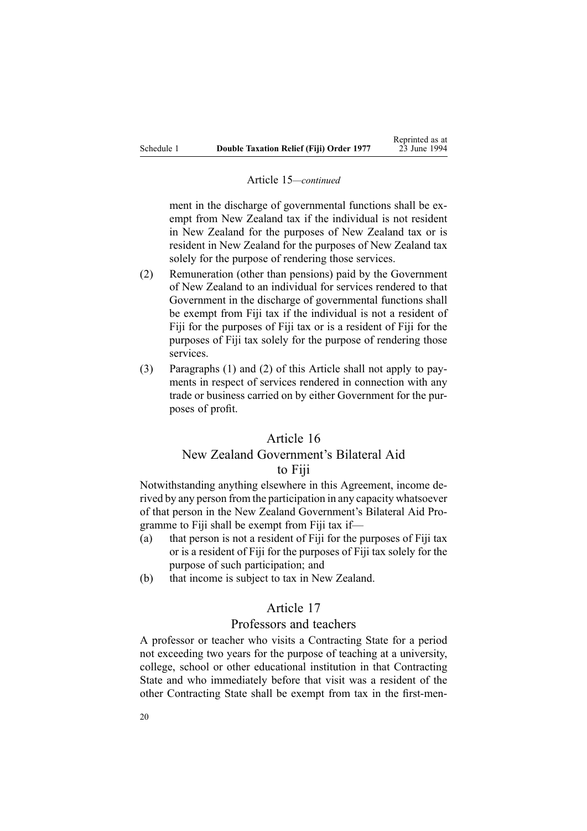#### Article 15*—continued*

ment in the discharge of governmental functions shall be exemp<sup>t</sup> from New Zealand tax if the individual is not resident in New Zealand for the purposes of New Zealand tax or is resident in New Zealand for the purposes of New Zealand tax solely for the purpose of rendering those services.

- (2) Remuneration (other than pensions) paid by the Government of New Zealand to an individual for services rendered to that Government in the discharge of governmental functions shall be exemp<sup>t</sup> from Fiji tax if the individual is not <sup>a</sup> resident of Fiji for the purposes of Fiji tax or is <sup>a</sup> resident of Fiji for the purposes of Fiji tax solely for the purpose of rendering those services.
- (3) Paragraphs (1) and (2) of this Article shall not apply to payments in respec<sup>t</sup> of services rendered in connection with any trade or business carried on by either Government for the purposes of profit.

# Article 16

# New Zealand Government's Bilateral Aid to Fiji

Notwithstanding anything elsewhere in this Agreement, income derived by any person from the participation in any capacity whatsoever of that person in the New Zealand Government's Bilateral Aid Programme to Fiji shall be exemp<sup>t</sup> from Fiji tax if—

- (a) that person is not <sup>a</sup> resident of Fiji for the purposes of Fiji tax or is <sup>a</sup> resident of Fiji for the purposes of Fiji tax solely for the purpose of such participation; and
- (b) that income is subject to tax in New Zealand.

# Article 17

### Professors and teachers

A professor or teacher who visits <sup>a</sup> Contracting State for <sup>a</sup> period not exceeding two years for the purpose of teaching at <sup>a</sup> university, college, school or other educational institution in that Contracting State and who immediately before that visit was <sup>a</sup> resident of the other Contracting State shall be exemp<sup>t</sup> from tax in the first-men-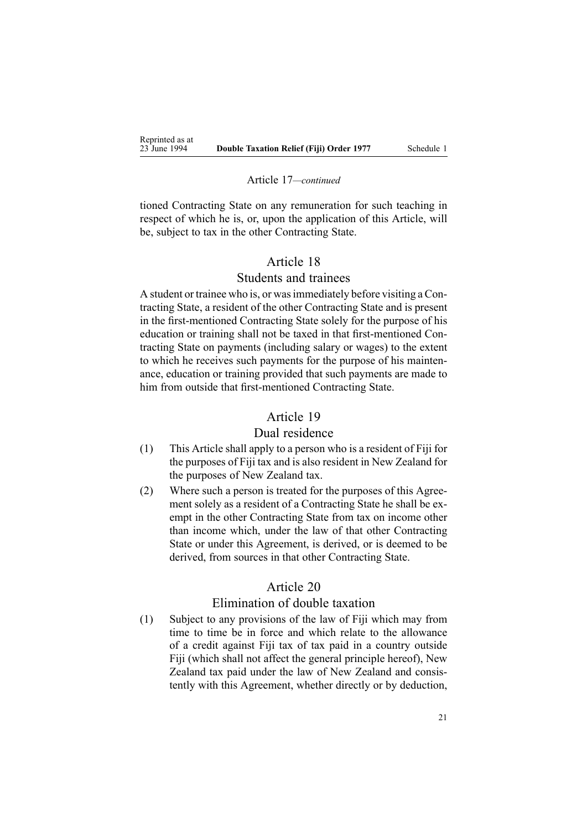#### Article 17*—continued*

tioned Contracting State on any remuneration for such teaching in respec<sup>t</sup> of which he is, or, upon the application of this Article, will be, subject to tax in the other Contracting State.

# Article 18

# Students and trainees

A student or trainee who is, or wasimmediately before visiting <sup>a</sup> Contracting State, <sup>a</sup> resident of the other Contracting State and is presen<sup>t</sup> in the first-mentioned Contracting State solely for the purpose of his education or training shall not be taxed in that first-mentioned Contracting State on payments (including salary or wages) to the extent to which he receives such payments for the purpose of his maintenance, education or training provided that such payments are made to him from outside that first-mentioned Contracting State.

# Article 19

### Dual residence

- (1) This Article shall apply to <sup>a</sup> person who is <sup>a</sup> resident of Fiji for the purposes of Fiji tax and is also resident in New Zealand for the purposes of New Zealand tax.
- (2) Where such <sup>a</sup> person is treated for the purposes of this Agreement solely as <sup>a</sup> resident of <sup>a</sup> Contracting State he shall be exemp<sup>t</sup> in the other Contracting State from tax on income other than income which, under the law of that other Contracting State or under this Agreement, is derived, or is deemed to be derived, from sources in that other Contracting State.

### Article 20

# Elimination of double taxation

(1) Subject to any provisions of the law of Fiji which may from time to time be in force and which relate to the allowance of <sup>a</sup> credit against Fiji tax of tax paid in <sup>a</sup> country outside Fiji (which shall not affect the general principle hereof), New Zealand tax paid under the law of New Zealand and consistently with this Agreement, whether directly or by deduction,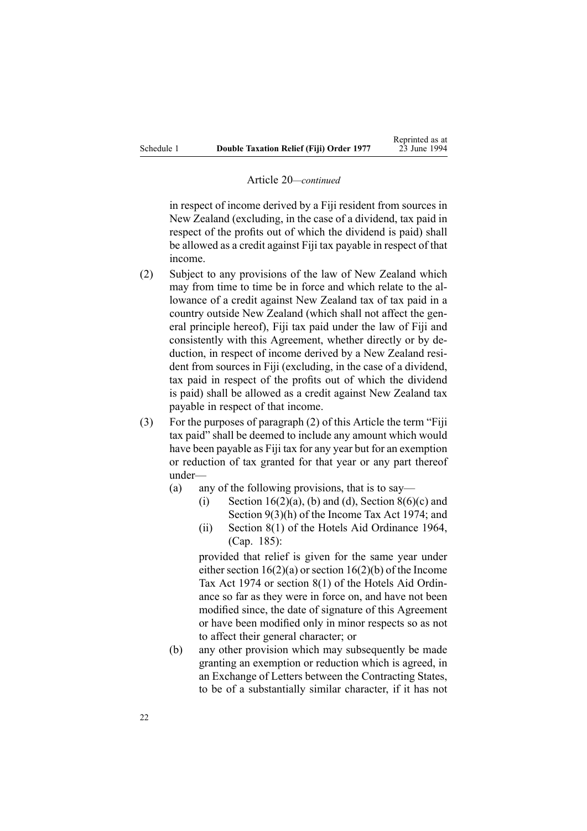#### Article 20*—continued*

in respec<sup>t</sup> of income derived by <sup>a</sup> Fiji resident from sources in New Zealand (excluding, in the case of <sup>a</sup> dividend, tax paid in respec<sup>t</sup> of the profits out of which the dividend is paid) shall be allowed as <sup>a</sup> credit against Fiji tax payable in respec<sup>t</sup> of that income.

- (2) Subject to any provisions of the law of New Zealand which may from time to time be in force and which relate to the allowance of <sup>a</sup> credit against New Zealand tax of tax paid in <sup>a</sup> country outside New Zealand (which shall not affect the general principle hereof), Fiji tax paid under the law of Fiji and consistently with this Agreement, whether directly or by deduction, in respec<sup>t</sup> of income derived by <sup>a</sup> New Zealand resident from sources in Fiji (excluding, in the case of <sup>a</sup> dividend, tax paid in respec<sup>t</sup> of the profits out of which the dividend is paid) shall be allowed as <sup>a</sup> credit against New Zealand tax payable in respec<sup>t</sup> of that income.
- (3) For the purposes of paragraph (2) of this Article the term "Fiji tax paid" shall be deemed to include any amount which would have been payable as Fiji tax for any year but for an exemption or reduction of tax granted for that year or any par<sup>t</sup> thereof under—
	- (a) any of the following provisions, that is to say—
		- (i) Section 16(2)(a), (b) and (d), Section 8(6)(c) and Section 9(3)(h) of the Income Tax Act 1974; and
		- (ii) Section 8(1) of the Hotels Aid Ordinance 1964, (Cap. 185):

provided that relief is given for the same year under either section  $16(2)(a)$  or section  $16(2)(b)$  of the Income Tax Act 1974 or section 8(1) of the Hotels Aid Ordinance so far as they were in force on, and have not been modified since, the date of signature of this Agreement or have been modified only in minor respects so as not to affect their general character; or

(b) any other provision which may subsequently be made granting an exemption or reduction which is agreed, in an Exchange of Letters between the Contracting States, to be of <sup>a</sup> substantially similar character, if it has not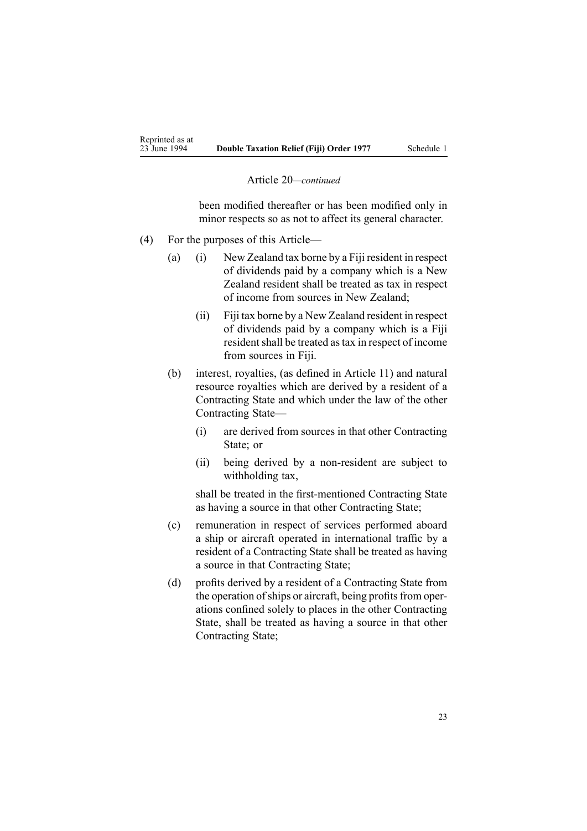#### Article 20*—continued*

been modified thereafter or has been modified only in minor respects so as not to affect its general character.

- (4) For the purposes of this Article—
	- (a) (i) New Zealand tax borne by <sup>a</sup> Fiji resident in respec<sup>t</sup> of dividends paid by <sup>a</sup> company which is <sup>a</sup> New Zealand resident shall be treated as tax in respec<sup>t</sup> of income from sources in New Zealand;
		- (ii) Fiji tax borne by <sup>a</sup> New Zealand resident in respec<sup>t</sup> of dividends paid by <sup>a</sup> company which is <sup>a</sup> Fiji resident shall be treated as tax in respect of income from sources in Fiji.
	- (b) interest, royalties, (as defined in Article 11) and natural resource royalties which are derived by <sup>a</sup> resident of <sup>a</sup> Contracting State and which under the law of the other Contracting State—
		- (i) are derived from sources in that other Contracting State; or
		- (ii) being derived by <sup>a</sup> non-resident are subject to withholding tax,

shall be treated in the first-mentioned Contracting State as having <sup>a</sup> source in that other Contracting State;

- (c) remuneration in respec<sup>t</sup> of services performed aboard <sup>a</sup> ship or aircraft operated in international traffic by <sup>a</sup> resident of <sup>a</sup> Contracting State shall be treated as having <sup>a</sup> source in that Contracting State;
- (d) profits derived by <sup>a</sup> resident of <sup>a</sup> Contracting State from the operation of ships or aircraft, being profits from operations confined solely to places in the other Contracting State, shall be treated as having <sup>a</sup> source in that other Contracting State;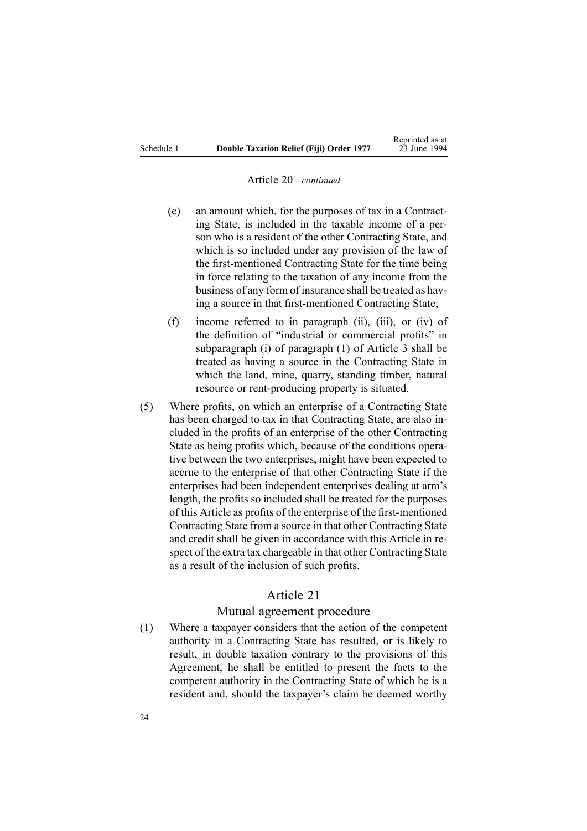#### Article 20*—continued*

- (e) an amount which, for the purposes of tax in <sup>a</sup> Contracting State, is included in the taxable income of <sup>a</sup> person who is <sup>a</sup> resident of the other Contracting State, and which is so included under any provision of the law of the first-mentioned Contracting State for the time being in force relating to the taxation of any income from the business of any form of insurance shall be treated as having <sup>a</sup> source in that first-mentioned Contracting State;
- (f) income referred to in paragraph (ii), (iii), or (iv) of the definition of "industrial or commercial profits" in subparagraph (i) of paragraph (1) of Article 3 shall be treated as having <sup>a</sup> source in the Contracting State in which the land, mine, quarry, standing timber, natural resource or rent-producing property is situated.
- (5) Where profits, on which an enterprise of <sup>a</sup> Contracting State has been charged to tax in that Contracting State, are also included in the profits of an enterprise of the other Contracting State as being profits which, because of the conditions operative between the two enterprises, might have been expected to accrue to the enterprise of that other Contracting State if the enterprises had been independent enterprises dealing at arm's length, the profits so included shall be treated for the purposes of this Article as profits of the enterprise of the first-mentioned Contracting State from <sup>a</sup> source in that other Contracting State and credit shall be given in accordance with this Article in respec<sup>t</sup> of the extra tax chargeable in that other Contracting State as <sup>a</sup> result of the inclusion of such profits.

# Article 21

### Mutual agreemen<sup>t</sup> procedure

(1) Where <sup>a</sup> taxpayer considers that the action of the competent authority in <sup>a</sup> Contracting State has resulted, or is likely to result, in double taxation contrary to the provisions of this Agreement, he shall be entitled to presen<sup>t</sup> the facts to the competent authority in the Contracting State of which he is <sup>a</sup> resident and, should the taxpayer's claim be deemed worthy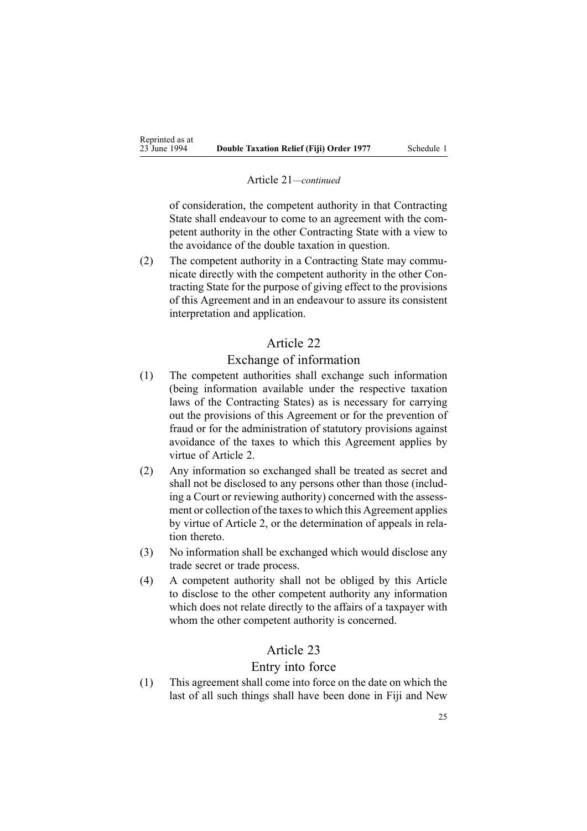#### Article 21*—continued*

of consideration, the competent authority in that Contracting State shall endeavour to come to an agreemen<sup>t</sup> with the competent authority in the other Contracting State with <sup>a</sup> view to the avoidance of the double taxation in question.

(2) The competent authority in <sup>a</sup> Contracting State may communicate directly with the competent authority in the other Contracting State for the purpose of giving effect to the provisions of this Agreement and in an endeavour to assure its consistent interpretation and application.

# Article 22

### Exchange of information

- (1) The competent authorities shall exchange such information (being information available under the respective taxation laws of the Contracting States) as is necessary for carrying out the provisions of this Agreement or for the prevention of fraud or for the administration of statutory provisions against avoidance of the taxes to which this Agreement applies by virtue of Article 2.
- (2) Any information so exchanged shall be treated as secret and shall not be disclosed to any persons other than those (including <sup>a</sup> Court or reviewing authority) concerned with the assessment or collection of the taxes to which this Agreement applies by virtue of Article 2, or the determination of appeals in relation thereto.
- (3) No information shall be exchanged which would disclose any trade secret or trade process.
- (4) A competent authority shall not be obliged by this Article to disclose to the other competent authority any information which does not relate directly to the affairs of <sup>a</sup> taxpayer with whom the other competent authority is concerned.

# Article 23

## Entry into force

(1) This agreemen<sup>t</sup> shall come into force on the date on which the last of all such things shall have been done in Fiji and New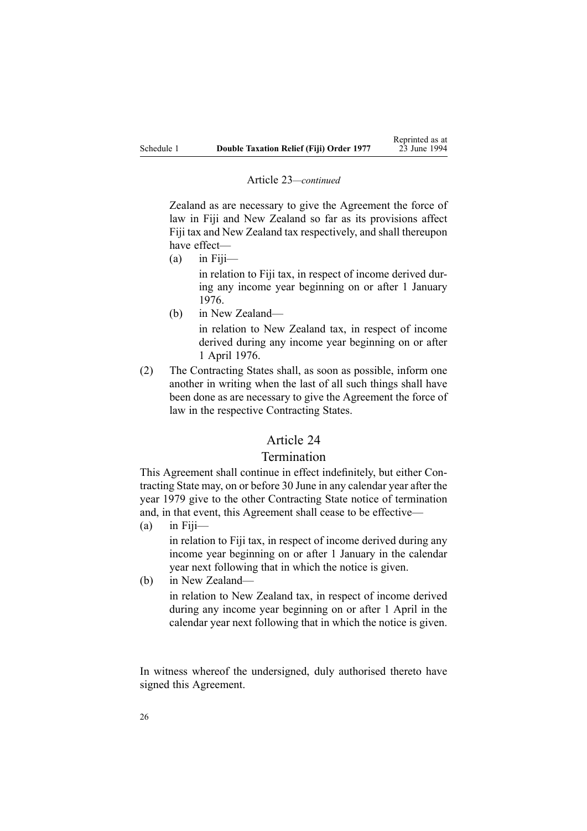#### Article 23*—continued*

Zealand as are necessary to give the Agreement the force of law in Fiji and New Zealand so far as its provisions affect Fiji tax and New Zealand tax respectively, and shall thereupon have effect—

- $(a)$  in Fiii in relation to Fiji tax, in respec<sup>t</sup> of income derived during any income year beginning on or after 1 January 1976.
- (b) in New Zealand—

in relation to New Zealand tax, in respec<sup>t</sup> of income derived during any income year beginning on or after 1 April 1976.

(2) The Contracting States shall, as soon as possible, inform one another in writing when the last of all such things shall have been done as are necessary to give the Agreement the force of law in the respective Contracting States.

# Article 24

## Termination

This Agreement shall continue in effect indefinitely, but either Contracting State may, on or before 30 June in any calendar year after the year 1979 give to the other Contracting State notice of termination and, in that event, this Agreement shall cease to be effective—

- $(a)$  in Fiii in relation to Fiji tax, in respec<sup>t</sup> of income derived during any income year beginning on or after 1 January in the calendar year next following that in which the notice is given.
- (b) in New Zealand in relation to New Zealand tax, in respec<sup>t</sup> of income derived during any income year beginning on or after 1 April in the calendar year next following that in which the notice is given.

In witness whereof the undersigned, duly authorised thereto have signed this Agreement.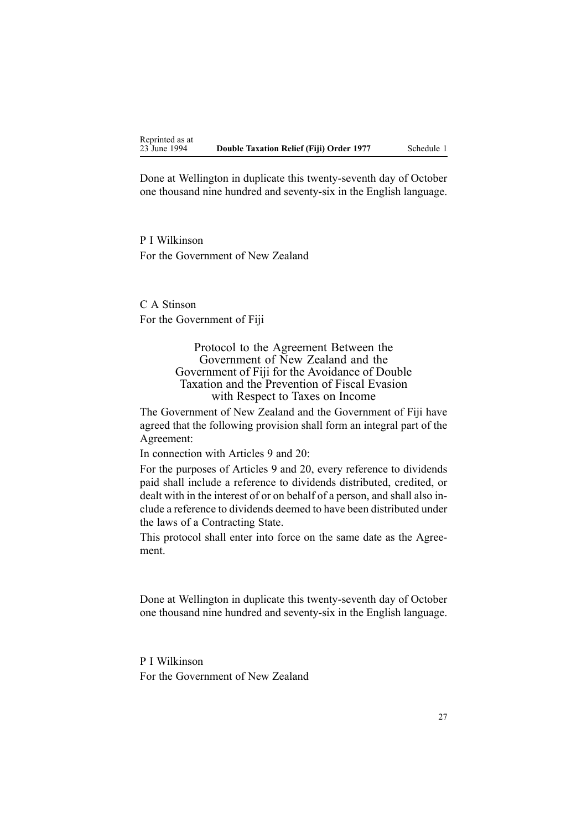Done at Wellington in duplicate this twenty-seventh day of October one thousand nine hundred and seventy-six in the English language.

P I Wilkinson For the Government of New Zealand

C A Stinson For the Government of Fiji

> Protocol to the Agreement Between the Government of New Zealand and the Government of Fiji for the Avoidance of Double Taxation and the Prevention of Fiscal Evasion with Respect to Taxes on Income

The Government of New Zealand and the Government of Fiji have agreed that the following provision shall form an integral par<sup>t</sup> of the Agreement:

In connection with Articles 9 and 20:

For the purposes of Articles 9 and 20, every reference to dividends paid shall include <sup>a</sup> reference to dividends distributed, credited, or dealt with in the interest of or on behalf of <sup>a</sup> person, and shall also include <sup>a</sup> reference to dividends deemed to have been distributed under the laws of <sup>a</sup> Contracting State.

This protocol shall enter into force on the same date as the Agreement.

Done at Wellington in duplicate this twenty-seventh day of October one thousand nine hundred and seventy-six in the English language.

P I Wilkinson For the Government of New Zealand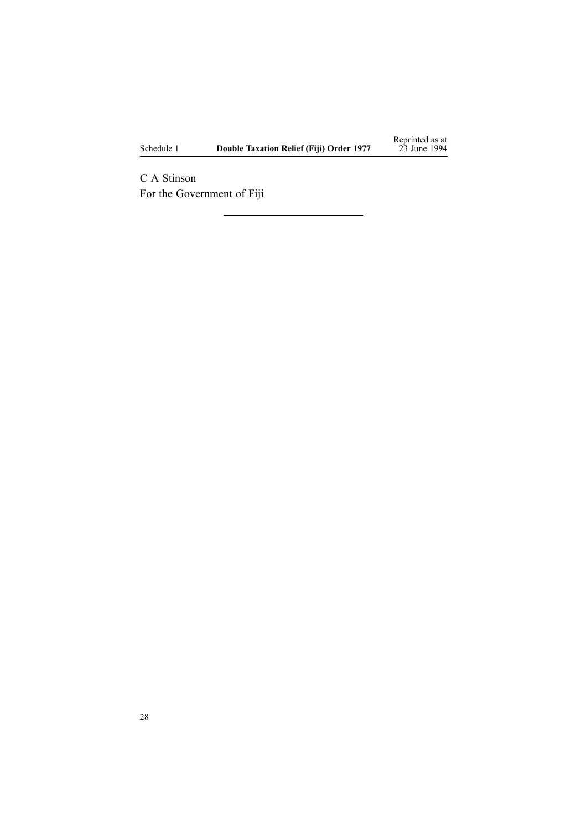Schedule 1 **Double Taxation Relief (Fiji) Order 1977**

Reprinted as at 23 June 1994

C A Stinson For the Government of Fiji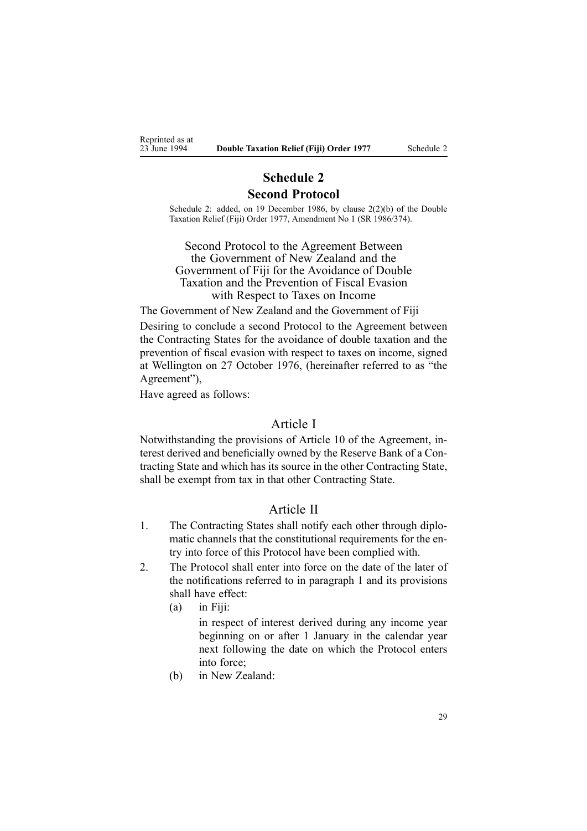<span id="page-28-0"></span>Reprinted as at<br>23 June 1994

# **Schedule 2 Second Protocol**

Schedule 2: added, on 19 December 1986, by clause 2(2)(b) of the Double Taxation Relief (Fiji) Order 1977, Amendment No 1 (SR 1986/374).

Second Protocol to the Agreement Between the Government of New Zealand and the Government of Fiji for the Avoidance of Double Taxation and the Prevention of Fiscal Evasion with Respect to Taxes on Income

The Government of New Zealand and the Government of Fiji

Desiring to conclude <sup>a</sup> second Protocol to the Agreement between the Contracting States for the avoidance of double taxation and the prevention of fiscal evasion with respec<sup>t</sup> to taxes on income, signed at Wellington on 27 October 1976, (hereinafter referred to as "the Agreement"),

Have agreed as follows:

### Article I

Notwithstanding the provisions of Article 10 of the Agreement, interest derived and beneficially owned by the Reserve Bank of <sup>a</sup> Contracting State and which has its source in the other Contracting State, shall be exemp<sup>t</sup> from tax in that other Contracting State.

### Article II

- 1. The Contracting States shall notify each other through diplomatic channels that the constitutional requirements for the entry into force of this Protocol have been complied with.
- 2. The Protocol shall enter into force on the date of the later of the notifications referred to in paragraph 1 and its provisions shall have effect:
	- (a) in Fiji:

in respec<sup>t</sup> of interest derived during any income year beginning on or after 1 January in the calendar year next following the date on which the Protocol enters into force;

(b) in New Zealand: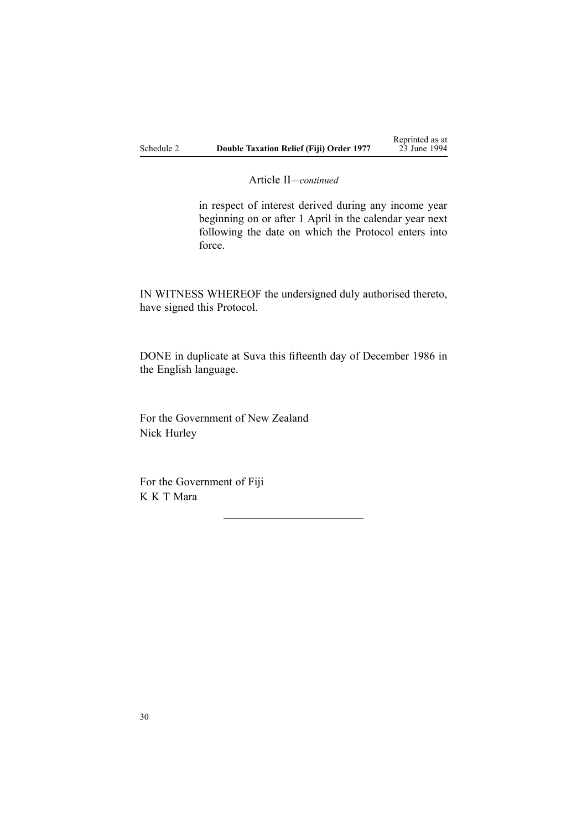Article II*—continued*

in respec<sup>t</sup> of interest derived during any income year beginning on or after 1 April in the calendar year next following the date on which the Protocol enters into force.

IN WITNESS WHEREOF the undersigned duly authorised thereto, have signed this Protocol.

DONE in duplicate at Suva this fifteenth day of December 1986 in the English language.

For the Government of New Zealand Nick Hurley

For the Government of Fiji K K T Mara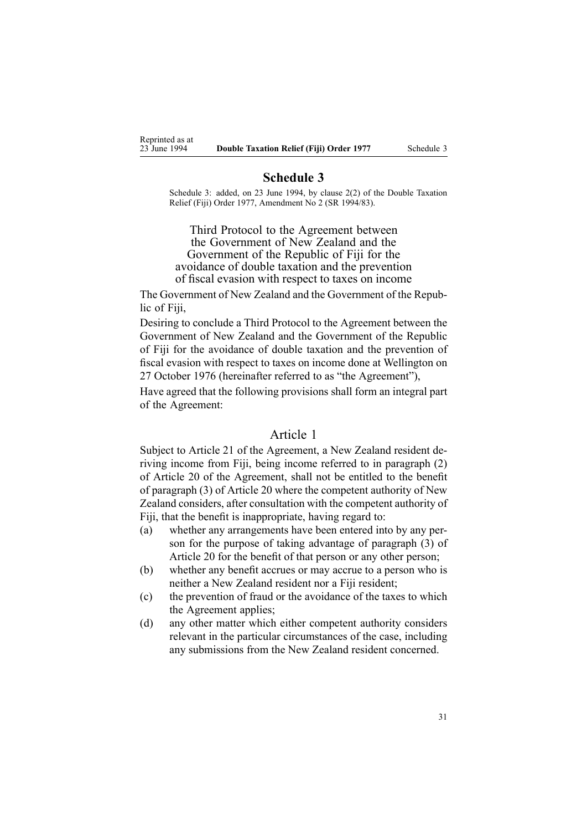<span id="page-30-0"></span>Reprinted as at<br>23 June 1994

### **Schedule 3**

Schedule 3: added, on 23 June 1994, by clause 2(2) of the Double Taxation Relief (Fiji) Order 1977, Amendment No 2 (SR 1994/83).

Third Protocol to the Agreement between the Government of New Zealand and the Government of the Republic of Fiji for the avoidance of double taxation and the prevention of fiscal evasion with respec<sup>t</sup> to taxes on income

The Government of New Zealand and the Government of the Republic of Fiji,

Desiring to conclude <sup>a</sup> Third Protocol to the Agreement between the Government of New Zealand and the Government of the Republic of Fiji for the avoidance of double taxation and the prevention of fiscal evasion with respec<sup>t</sup> to taxes on income done at Wellington on 27 October 1976 (hereinafter referred to as "the Agreement"),

Have agreed that the following provisions shall form an integral par<sup>t</sup> of the Agreement:

### Article 1

Subject to Article 21 of the Agreement, <sup>a</sup> New Zealand resident deriving income from Fiji, being income referred to in paragraph (2) of Article 20 of the Agreement, shall not be entitled to the benefit of paragraph (3) of Article 20 where the competent authority of New Zealand considers, after consultation with the competent authority of Fiji, that the benefit is inappropriate, having regard to:

- (a) whether any arrangements have been entered into by any person for the purpose of taking advantage of paragraph (3) of Article 20 for the benefit of that person or any other person;
- (b) whether any benefit accrues or may accrue to <sup>a</sup> person who is neither <sup>a</sup> New Zealand resident nor <sup>a</sup> Fiji resident;
- (c) the prevention of fraud or the avoidance of the taxes to which the Agreement applies;
- (d) any other matter which either competent authority considers relevant in the particular circumstances of the case, including any submissions from the New Zealand resident concerned.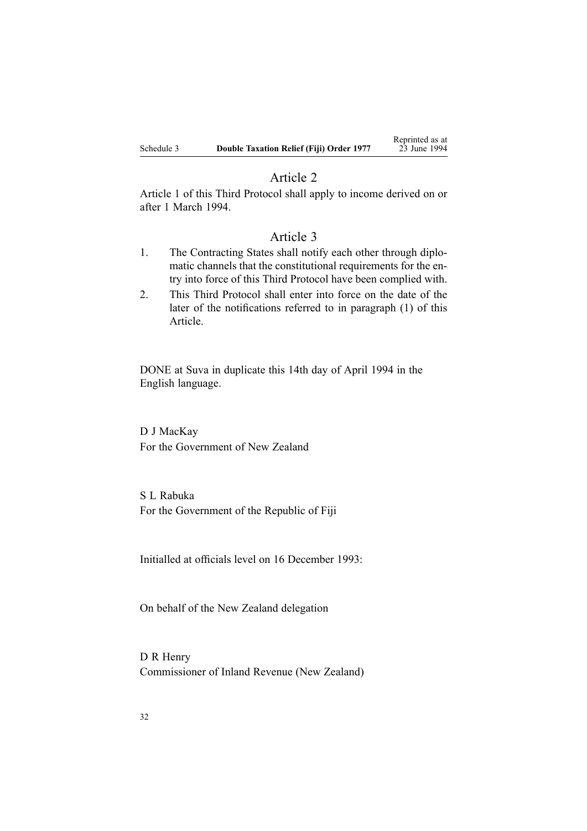### Article 2

Article 1 of this Third Protocol shall apply to income derived on or after 1 March 1994.

# Article 3

- 1. The Contracting States shall notify each other through diplomatic channels that the constitutional requirements for the entry into force of this Third Protocol have been complied with.
- 2. This Third Protocol shall enter into force on the date of the later of the notifications referred to in paragraph (1) of this Article.

DONE at Suva in duplicate this 14th day of April 1994 in the English language.

D J MacKay For the Government of New Zealand

S L Rabuka For the Government of the Republic of Fiji

Initialled at officials level on 16 December 1993:

On behalf of the New Zealand delegation

D R Henry Commissioner of Inland Revenue (New Zealand)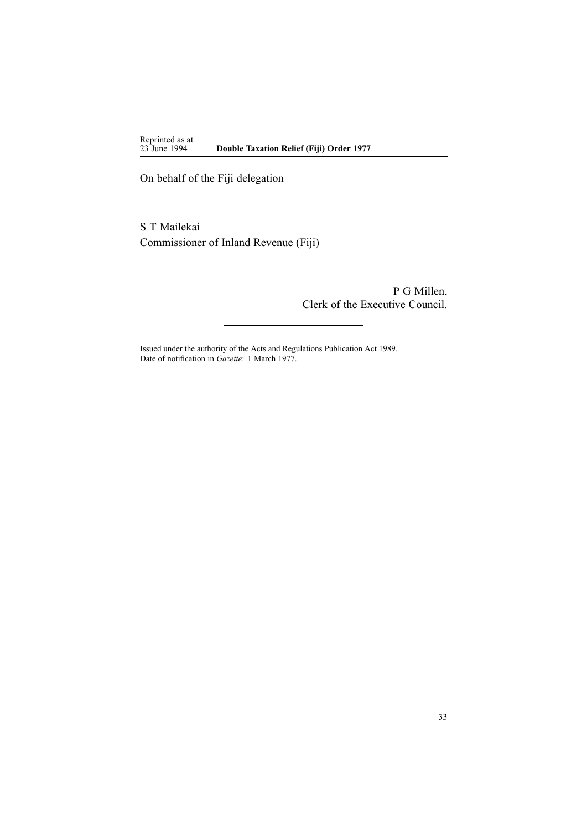Reprinted as at<br>23 June 1994 23 June 1994 **Double Taxation Relief (Fiji) Order 1977**

On behalf of the Fiji delegation

S T Mailekai Commissioner of Inland Revenue (Fiji)

> P G Millen, Clerk of the Executive Council.

Issued under the authority of the Acts and [Regulations](http://www.legislation.govt.nz/pdflink.aspx?id=DLM195097) Publication Act 1989. Date of notification in *Gazette*: 1 March 1977.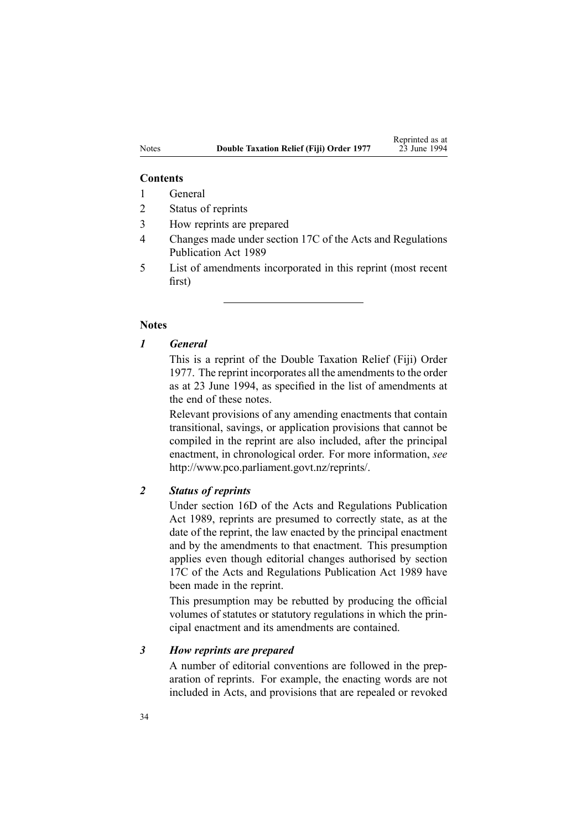#### **Contents**

- 1 General
- 2 Status of reprints
- 3 How reprints are prepared
- 4 Changes made under section 17C of the Acts and Regulations Publication Act 1989
- 5 List of amendments incorporated in this reprint (most recent first)

### **Notes**

### *1 General*

This is <sup>a</sup> reprint of the Double Taxation Relief (Fiji) Order 1977. The reprint incorporates all the amendments to the order as at 23 June 1994, as specified in the list of amendments at the end of these notes.

Relevant provisions of any amending enactments that contain transitional, savings, or application provisions that cannot be compiled in the reprint are also included, after the principal enactment, in chronological order. For more information, *see* <http://www.pco.parliament.govt.nz/reprints/>.

# *2 Status of reprints*

Under [section](http://www.legislation.govt.nz/pdflink.aspx?id=DLM195439) 16D of the Acts and Regulations Publication Act 1989, reprints are presumed to correctly state, as at the date of the reprint, the law enacted by the principal enactment and by the amendments to that enactment. This presumption applies even though editorial changes authorised by [section](http://www.legislation.govt.nz/pdflink.aspx?id=DLM195466) [17C](http://www.legislation.govt.nz/pdflink.aspx?id=DLM195466) of the Acts and Regulations Publication Act 1989 have been made in the reprint.

This presumption may be rebutted by producing the official volumes of statutes or statutory regulations in which the principal enactment and its amendments are contained.

### *3 How reprints are prepared*

A number of editorial conventions are followed in the preparation of reprints. For example, the enacting words are not included in Acts, and provisions that are repealed or revoked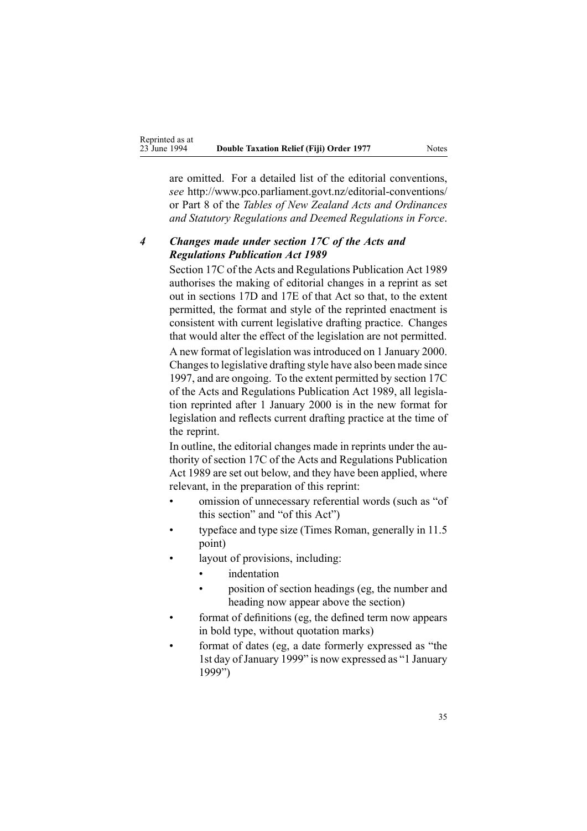are omitted. For <sup>a</sup> detailed list of the editorial conventions, *see* [http://www.pco.parliament.govt.nz/editorial-conventions/](http://www.pco.parliament.govt.nz/editorial-conventions/ ) or Part 8 of the *Tables of New Zealand Acts and Ordinances and Statutory Regulations and Deemed Regulations in Force*.

# *4 Changes made under section 17C of the Acts and Regulations Publication Act 1989*

[Section](http://www.legislation.govt.nz/pdflink.aspx?id=DLM195466) 17C of the Acts and Regulations Publication Act 1989 authorises the making of editorial changes in <sup>a</sup> reprint as set out in [sections](http://www.legislation.govt.nz/pdflink.aspx?id=DLM195468) 17D and [17E](http://www.legislation.govt.nz/pdflink.aspx?id=DLM195470) of that Act so that, to the extent permitted, the format and style of the reprinted enactment is consistent with current legislative drafting practice. Changes that would alter the effect of the legislation are not permitted.

A new format of legislation wasintroduced on 1 January 2000. Changesto legislative drafting style have also been made since 1997, and are ongoing. To the extent permitted by [section](http://www.legislation.govt.nz/pdflink.aspx?id=DLM195466) 17C of the Acts and Regulations Publication Act 1989, all legislation reprinted after 1 January 2000 is in the new format for legislation and reflects current drafting practice at the time of the reprint.

In outline, the editorial changes made in reprints under the authority of [section](http://www.legislation.govt.nz/pdflink.aspx?id=DLM195466) 17C of the Acts and Regulations Publication Act 1989 are set out below, and they have been applied, where relevant, in the preparation of this reprint:

- • omission of unnecessary referential words (such as "of this section" and "of this Act")
- • typeface and type size (Times Roman, generally in 11.5 point)
- • layout of provisions, including:
	- •indentation
	- • position of section headings (eg, the number and heading now appear above the section)
- • format of definitions (eg, the defined term now appears in bold type, without quotation marks)
- • format of dates (eg, <sup>a</sup> date formerly expressed as "the 1st day of January 1999" is now expressed as "1 January 1999")